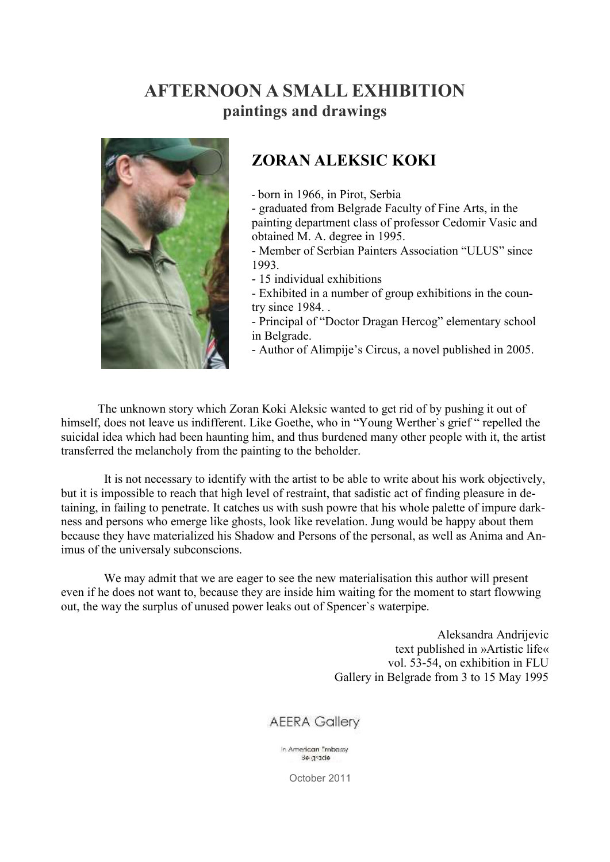## **AFTERNOON A SMALL EXHIBITION paintings and drawings**



## **ZORAN ALEKSIC KOKI**

- born in 1966, in Pirot, Serbia

- graduated from Belgrade Faculty of Fine Arts, in the painting department class of professor Cedomir Vasic and obtained M. A. degree in 1995.

- Member of Serbian Painters Association "ULUS" since 1993.

- 15 individual exhibitions

- Exhibited in a number of group exhibitions in the country since 1984. .

- Principal of "Doctor Dragan Hercog" elementary school in Belgrade.

- Author of Alimpije's Circus, a novel published in 2005.

 The unknown story which Zoran Koki Aleksic wanted to get rid of by pushing it out of himself, does not leave us indifferent. Like Goethe, who in "Young Werther's grief " repelled the suicidal idea which had been haunting him, and thus burdened many other people with it, the artist transferred the melancholy from the painting to the beholder.

 It is not necessary to identify with the artist to be able to write about his work objectively, but it is impossible to reach that high level of restraint, that sadistic act of finding pleasure in detaining, in failing to penetrate. It catches us with sush powre that his whole palette of impure darkness and persons who emerge like ghosts, look like revelation. Jung would be happy about them because they have materialized his Shadow and Persons of the personal, as well as Anima and Animus of the universaly subconscions.

 We may admit that we are eager to see the new materialisation this author will present even if he does not want to, because they are inside him waiting for the moment to start flowwing out, the way the surplus of unused power leaks out of Spencer`s waterpipe.

> Aleksandra Andrijevic text published in »Artistic life« vol. 53-54, on exhibition in FLU Gallery in Belgrade from 3 to 15 May 1995

## **AEERA Gallery**

In American Embassy Belgrade

October 2011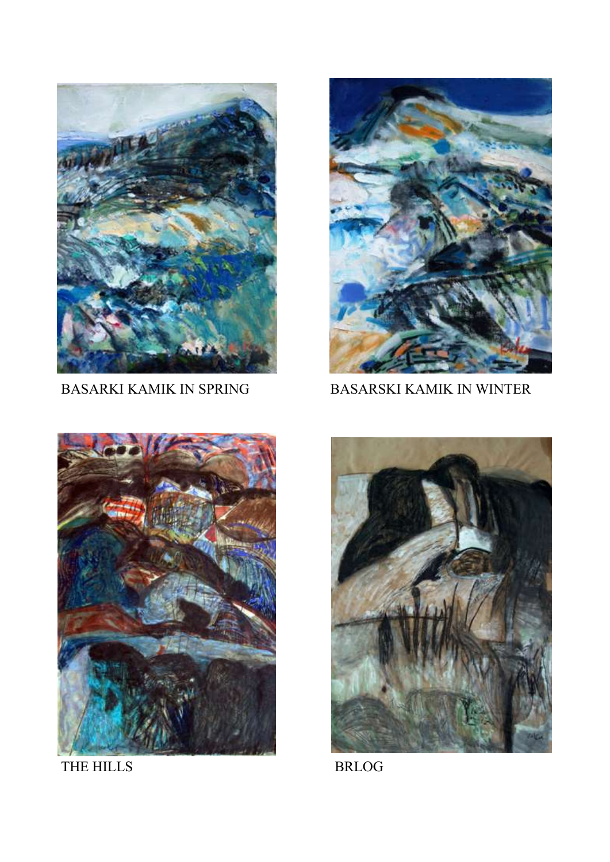



BASARKI KAMIK IN SPRING BASARSKI KAMIK IN WINTER



THE HILLS BRLOG

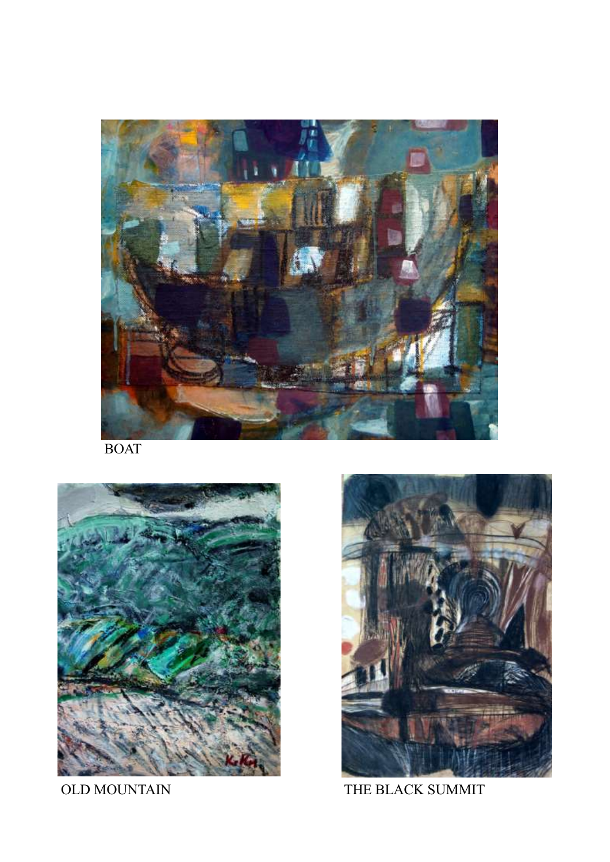

BOAT





OLD MOUNTAIN THE BLACK SUMMIT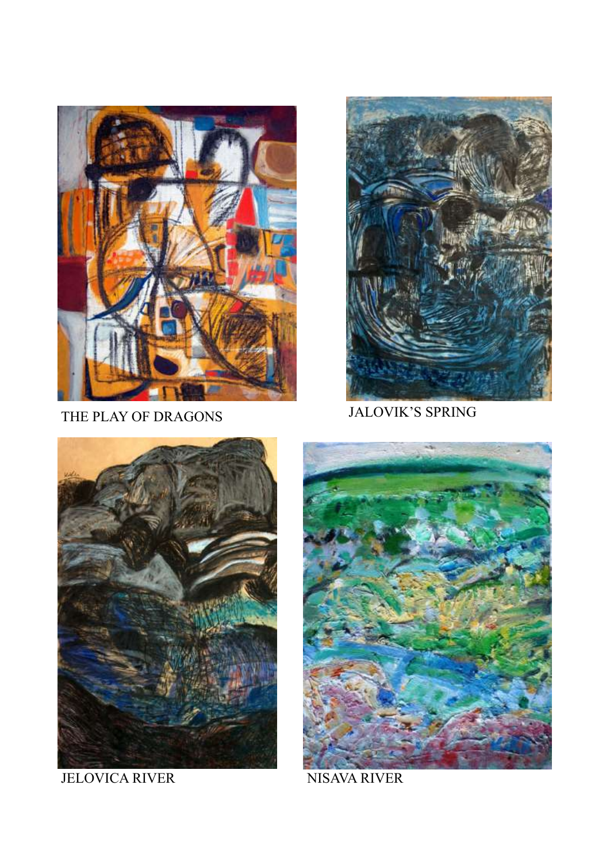

THE PLAY OF DRAGONS



JALOVIK'S SPRING



JELOVICA RIVER



NISAVA RIVER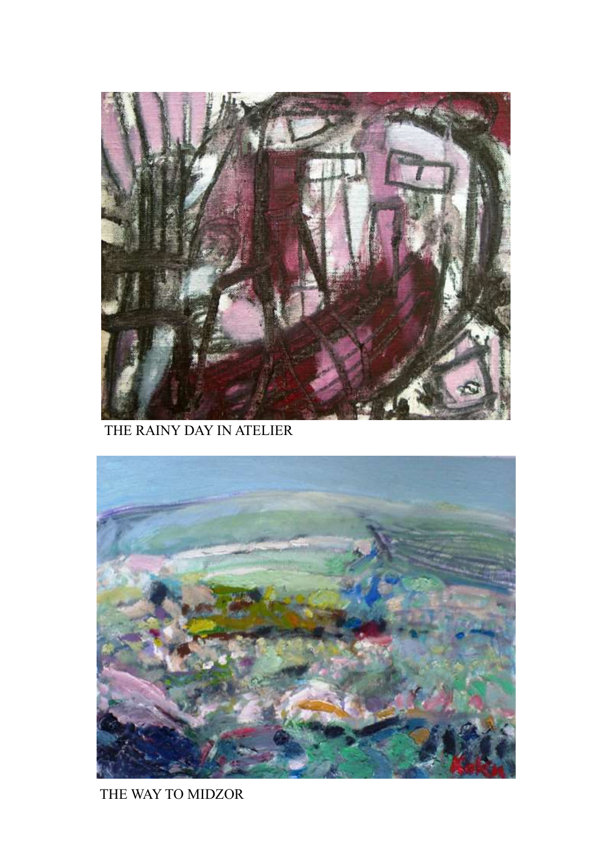

THE RAINY DAY IN ATELIER



THE WAY TO MIDZOR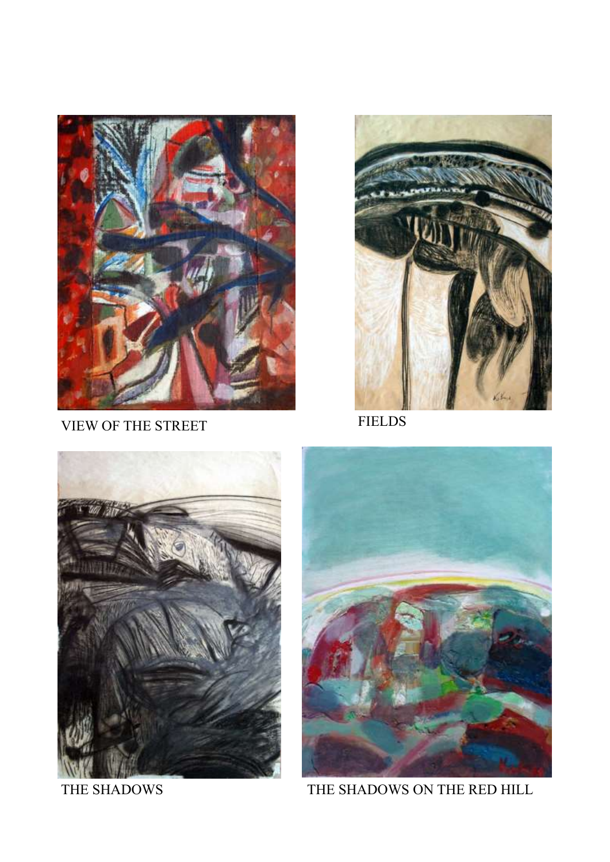

VIEW OF THE STREET FIELDS







THE SHADOWS THE SHADOWS ON THE RED HILL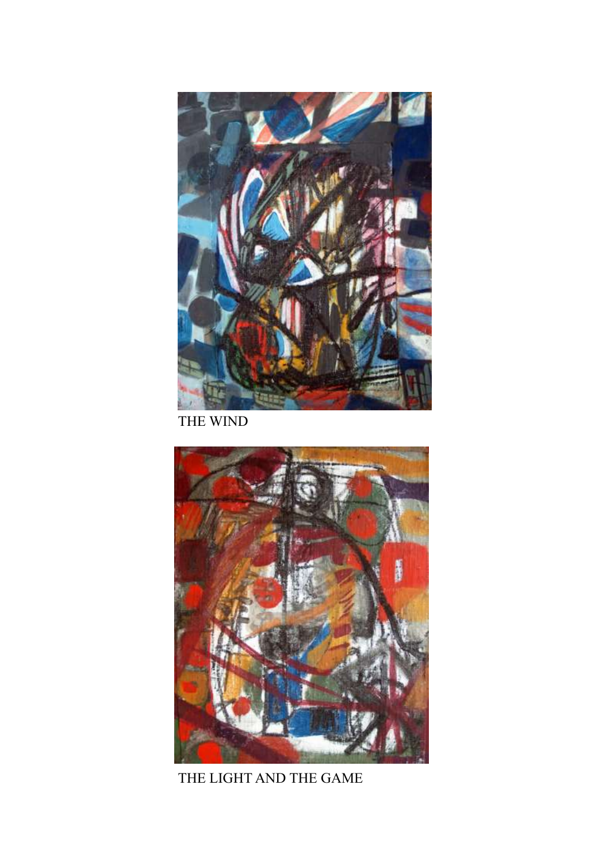

THE WIND



THE LIGHT AND THE GAME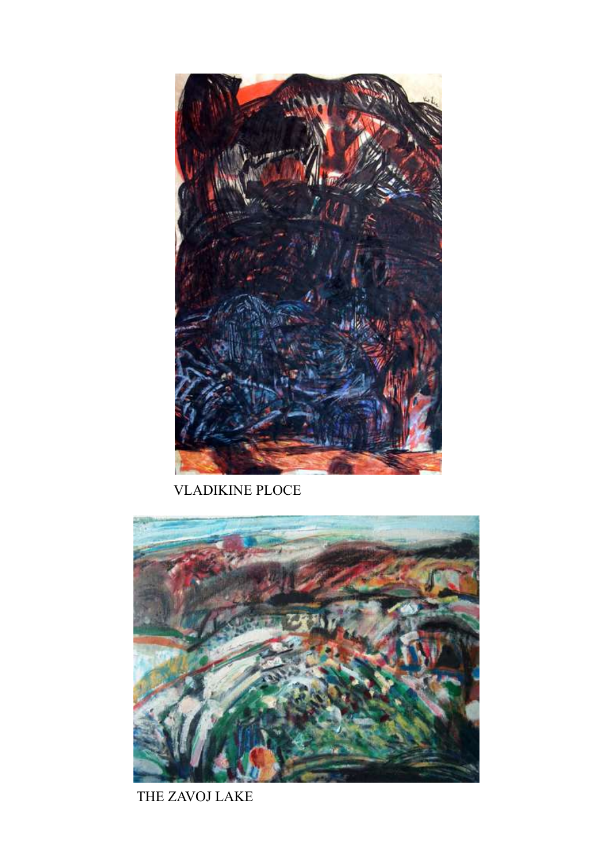

VLADIKINE PLOCE



THE ZAVOJ LAKE